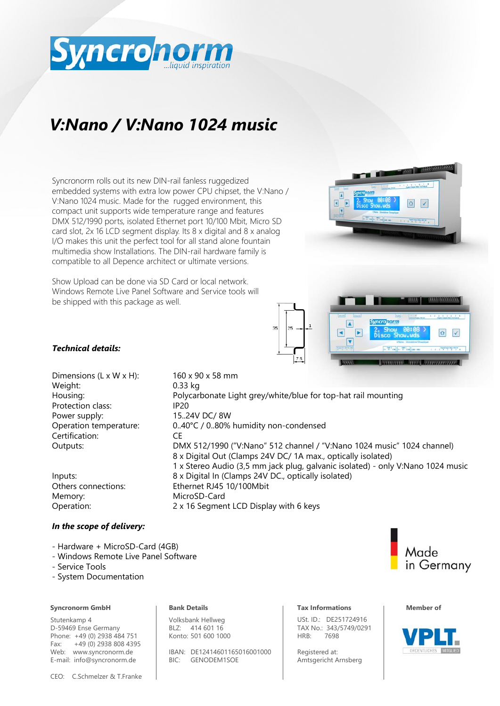

# *V:Nano / V:Nano 1024 music*

Syncronorm rolls out its new DIN-rail fanless ruggedized embedded systems with extra low power CPU chipset, the V:Nano / V:Nano 1024 music. Made for the rugged environment, this compact unit supports wide temperature range and features DMX 512/1990 ports, isolated Ethernet port 10/100 Mbit, Micro SD card slot, 2x 16 LCD segment display. Its 8 x digital and 8 x analog I/O makes this unit the perfect tool for all stand alone fountain multimedia show Installations. The DIN-rail hardware family is compatible to all Depence architect or ultimate versions.

Show Upload can be done via SD Card or local network. Windows Remote Live Panel Software and Service tools will be shipped with this package as well.





### *Technical details:*

Dimensions (L x W x H):  $160 \times 90 \times 58$  mm Weight: 0.33 kg Protection class: IP20 Power supply: 15..24V DC/ 8W Certification: CE

Memory: MicroSD-Card Operation: 2 x 16 Segment LCD Display with 6 keys

Housing: Polycarbonate Light grey/white/blue for top-hat rail mounting Operation temperature: 0..40°C / 0..80% humidity non-condensed Outputs: DMX 512/1990 ("V:Nano" 512 channel / "V:Nano 1024 music" 1024 channel) 8 x Digital Out (Clamps 24V DC/ 1A max., optically isolated) 1 x Stereo Audio (3,5 mm jack plug, galvanic isolated) - only V:Nano 1024 music Inputs: 8 x Digital In (Clamps 24V DC., optically isolated) Others connections: Ethernet RJ45 10/100Mbit

### *In the scope of delivery:*

- Hardware + MicroSD-Card (4GB)
- Windows Remote Live Panel Software
- Service Tools
- System Documentation

#### **Syncronorm GmbH Bank Details Notationally and Tax Informations Member of**

Stutenkamp 4 D-59469 Ense Germany Phone: +49 (0) 2938 484 751 Fax: +49 (0) 2938 808 4395 Web: www.syncronorm.de E-mail: info@syncronorm.de

Volksbank Hellweg BLZ: 414 601 16 Konto: 501 600 1000

IBAN: DE12414601165016001000 BIC: GENODEM1SOE

USt. ID.: DE251724916 TAX No.: 343/5749/0291 HRB: 7698

Registered at: Amtsgericht Arnsberg



Made

in Germany